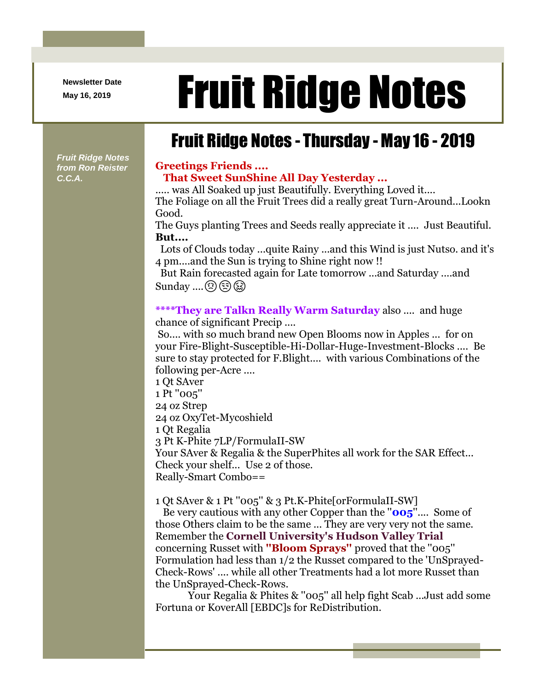**Newsletter Date**

# Newsletter Date **Fruit Ridge Notes**

## Fruit Ridge Notes - Thursday - May 16 - 2019

*Fruit Ridge Notes from Ron Reister C.C.A.*

#### **Greetings Friends .... That Sweet SunShine All Day Yesterday ...**

..... was All Soaked up just Beautifully. Everything Loved it.... The Foliage on all the Fruit Trees did a really great Turn-Around...Lookn

Good.

The Guys planting Trees and Seeds really appreciate it .... Just Beautiful. **But....**

Lots of Clouds today ...quite Rainy ...and this Wind is just Nutso. and it's 4 pm....and the Sun is trying to Shine right now !!

But Rain forecasted again for Late tomorrow ...and Saturday ....and  $Sunday$  .... $\textcircled{f}$  $\textcircled{f}$  $\textcircled{g}$ 

**\*\*\*\*They are Talkn Really Warm Saturday** also .... and huge chance of significant Precip ....

So.... with so much brand new Open Blooms now in Apples ... for on your Fire-Blight-Susceptible-Hi-Dollar-Huge-Investment-Blocks .... Be sure to stay protected for F.Blight.... with various Combinations of the following per-Acre ....

1 Qt SAver 1 Pt ''005'' 24 oz Strep 24 oz OxyTet-Mycoshield 1 Qt Regalia 3 Pt K-Phite 7LP/FormulaII-SW Your SAver & Regalia & the SuperPhites all work for the SAR Effect... Check your shelf... Use 2 of those. Really-Smart Combo==

1 Qt SAver & 1 Pt ''005'' & 3 Pt.K-Phite[orFormulaII-SW]

Be very cautious with any other Copper than the ''**005**''.... Some of those Others claim to be the same ... They are very very not the same. Remember the **Cornell University's Hudson Valley Trial** concerning Russet with **''Bloom Sprays''** proved that the ''005'' Formulation had less than 1/2 the Russet compared to the 'UnSprayed-Check-Rows' .... while all other Treatments had a lot more Russet than the UnSprayed-Check-Rows.

Your Regalia & Phites & ''005'' all help fight Scab ...Just add some Fortuna or KoverAll [EBDC]s for ReDistribution.